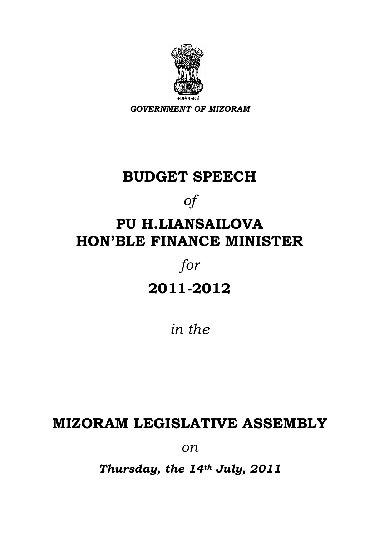

*GOVERNMENT OF MIZORAM* 

# **BUDGET SPEECH**

*of* 

# **PU H.LIANSAILOVA HON'BLE FINANCE MINISTER**

# *for*  **2011-2012**

*in the* 

# **MIZORAM LEGISLATIVE ASSEMBLY**

*on*

*Thursday, the 14th July, 2011*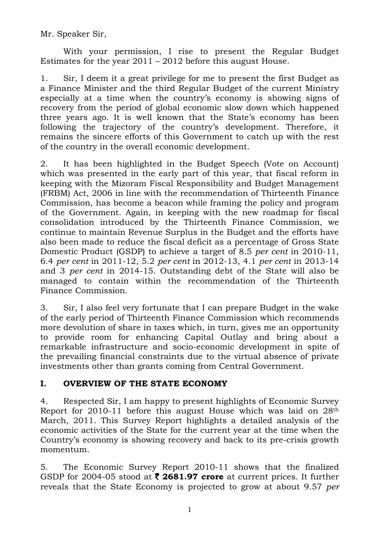Mr. Speaker Sir,

 With your permission, I rise to present the Regular Budget Estimates for the year  $2011 - 2012$  before this august House.

1. Sir, I deem it a great privilege for me to present the first Budget as a Finance Minister and the third Regular Budget of the current Ministry especially at a time when the country's economy is showing signs of recovery from the period of global economic slow down which happened three years ago. It is well known that the State's economy has been following the trajectory of the country's development. Therefore, it remains the sincere efforts of this Government to catch up with the rest of the country in the overall economic development.

2. It has been highlighted in the Budget Speech (Vote on Account) which was presented in the early part of this year, that fiscal reform in keeping with the Mizoram Fiscal Responsibility and Budget Management (FRBM) Act, 2006 in line with the recommendation of Thirteenth Finance Commission, has become a beacon while framing the policy and program of the Government. Again, in keeping with the new roadmap for fiscal consolidation introduced by the Thirteenth Finance Commission, we continue to maintain Revenue Surplus in the Budget and the efforts have also been made to reduce the fiscal deficit as a percentage of Gross State Domestic Product (GSDP) to achieve a target of 8.5 *per cent* in 2010-11, 6.4 *per cent* in 2011-12, 5.2 *per cent* in 2012-13, 4.1 *per cent* in 2013-14 and 3 *per cent* in 2014-15. Outstanding debt of the State will also be managed to contain within the recommendation of the Thirteenth Finance Commission.

3. Sir, I also feel very fortunate that I can prepare Budget in the wake of the early period of Thirteenth Finance Commission which recommends more devolution of share in taxes which, in turn, gives me an opportunity to provide room for enhancing Capital Outlay and bring about a remarkable infrastructure and socio-economic development in spite of the prevailing financial constraints due to the virtual absence of private investments other than grants coming from Central Government.

#### **I. OVERVIEW OF THE STATE ECONOMY**

4. Respected Sir, I am happy to present highlights of Economic Survey Report for 2010-11 before this august House which was laid on 28th March, 2011. This Survey Report highlights a detailed analysis of the economic activities of the State for the current year at the time when the Country's economy is showing recovery and back to its pre-crisis growth momentum.

5. The Economic Survey Report 2010-11 shows that the finalized GSDP for 2004-05 stood at ` **2681.97 crore** at current prices. It further reveals that the State Economy is projected to grow at about 9.57 *per*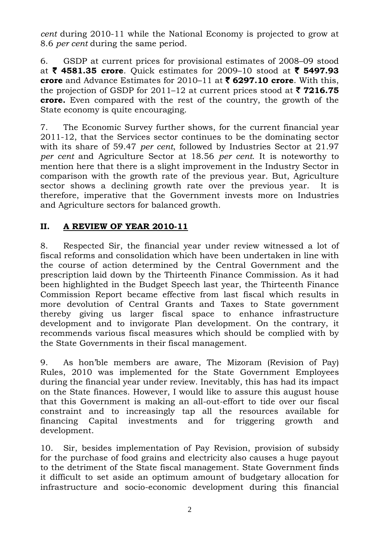*cent* during 2010-11 while the National Economy is projected to grow at 8.6 *per cent* during the same period.

6. GSDP at current prices for provisional estimates of 2008–09 stood at ₹ 4581.35 crore. Quick estimates for 2009–10 stood at ₹ 5497.93 **crore** and Advance Estimates for 2010–11 at  $\bar{\tau}$  6297.10 crore. With this, the projection of GSDP for 2011–12 at current prices stood at  $\bar{\tau}$  **7216.75 crore.** Even compared with the rest of the country, the growth of the State economy is quite encouraging.

7. The Economic Survey further shows, for the current financial year 2011-12, that the Services sector continues to be the dominating sector with its share of 59.47 *per cent*, followed by Industries Sector at 21.97 *per cent* and Agriculture Sector at 18.56 *per cent*. It is noteworthy to mention here that there is a slight improvement in the Industry Sector in comparison with the growth rate of the previous year. But, Agriculture sector shows a declining growth rate over the previous year. It is therefore, imperative that the Government invests more on Industries and Agriculture sectors for balanced growth.

#### **II. A REVIEW OF YEAR 2010-11**

8. Respected Sir, the financial year under review witnessed a lot of fiscal reforms and consolidation which have been undertaken in line with the course of action determined by the Central Government and the prescription laid down by the Thirteenth Finance Commission. As it had been highlighted in the Budget Speech last year, the Thirteenth Finance Commission Report became effective from last fiscal which results in more devolution of Central Grants and Taxes to State government thereby giving us larger fiscal space to enhance infrastructure development and to invigorate Plan development. On the contrary, it recommends various fiscal measures which should be complied with by the State Governments in their fiscal management.

9. As hon'ble members are aware, The Mizoram (Revision of Pay) Rules, 2010 was implemented for the State Government Employees during the financial year under review. Inevitably, this has had its impact on the State finances. However, I would like to assure this august house that this Government is making an all-out-effort to tide over our fiscal constraint and to increasingly tap all the resources available for financing Capital investments and for triggering growth and development.

10. Sir, besides implementation of Pay Revision, provision of subsidy for the purchase of food grains and electricity also causes a huge payout to the detriment of the State fiscal management. State Government finds it difficult to set aside an optimum amount of budgetary allocation for infrastructure and socio-economic development during this financial

2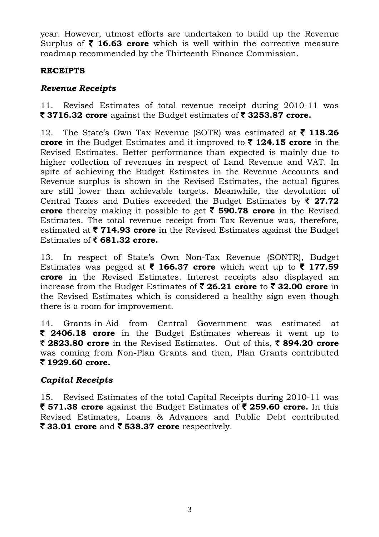year. However, utmost efforts are undertaken to build up the Revenue Surplus of  $\bar{\tau}$  16.63 crore which is well within the corrective measure roadmap recommended by the Thirteenth Finance Commission.

#### **RECEIPTS**

#### *Revenue Receipts*

11. Revised Estimates of total revenue receipt during 2010-11 was  $\bar{\mathbf{\mathsf{z}}}$  3716.32 crore against the Budget estimates of  $\bar{\mathbf{\mathsf{z}}}$  3253.87 crore.

12. The State's Own Tax Revenue (SOTR) was estimated at ` **118.26 crore** in the Budget Estimates and it improved to ` **124.15 crore** in the Revised Estimates. Better performance than expected is mainly due to higher collection of revenues in respect of Land Revenue and VAT. In spite of achieving the Budget Estimates in the Revenue Accounts and Revenue surplus is shown in the Revised Estimates, the actual figures are still lower than achievable targets. Meanwhile, the devolution of Central Taxes and Duties exceeded the Budget Estimates by  $\bar{\zeta}$  27.72 **crore** thereby making it possible to get ` **590.78 crore** in the Revised Estimates. The total revenue receipt from Tax Revenue was, therefore, estimated at ` **714.93 crore** in the Revised Estimates against the Budget Estimates of  $\bar{\bar{\mathbf{z}}}$  681.32 crore.

13. In respect of State's Own Non-Tax Revenue (SONTR), Budget Estimates was pegged at  $\bar{\tau}$  166.37 crore which went up to  $\bar{\tau}$  177.59 **crore** in the Revised Estimates. Interest receipts also displayed an increase from the Budget Estimates of ₹ 26.21 crore to ₹ 32.00 crore in the Revised Estimates which is considered a healthy sign even though there is a room for improvement.

14. Grants-in-Aid from Central Government was estimated at ` **2406.18 crore** in the Budget Estimates whereas it went up to ` **2823.80 crore** in the Revised Estimates. Out of this, ` **894.20 crore**  was coming from Non-Plan Grants and then, Plan Grants contributed ` **1929.60 crore.**

#### *Capital Receipts*

15. Revised Estimates of the total Capital Receipts during 2010-11 was ` **571.38 crore** against the Budget Estimates of ` **259.60 crore.** In this Revised Estimates, Loans & Advances and Public Debt contributed ` **33.01 crore** and ` **538.37 crore** respectively.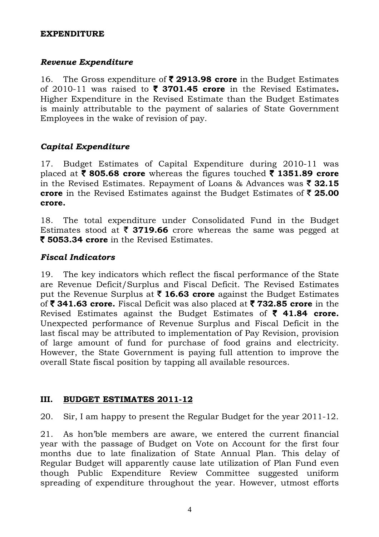#### **EXPENDITURE**

#### *Revenue Expenditure*

16. The Gross expenditure of ` **2913.98 crore** in the Budget Estimates of 2010-11 was raised to  $\bar{\tau}$  **3701.45 crore** in the Revised Estimates. Higher Expenditure in the Revised Estimate than the Budget Estimates is mainly attributable to the payment of salaries of State Government Employees in the wake of revision of pay.

#### *Capital Expenditure*

17. Budget Estimates of Capital Expenditure during 2010-11 was placed at  $\bar{\tau}$  805.68 crore whereas the figures touched  $\bar{\tau}$  1351.89 crore in the Revised Estimates. Repayment of Loans  $\&$  Advances was  $\bar{\mathbf{z}}$  32.15 **crore** in the Revised Estimates against the Budget Estimates of ₹25.00 **crore.** 

18. The total expenditure under Consolidated Fund in the Budget Estimates stood at  $\bar{\tau}$  3719.66 crore whereas the same was pegged at ` **5053.34 crore** in the Revised Estimates.

#### *Fiscal Indicators*

19. The key indicators which reflect the fiscal performance of the State are Revenue Deficit/Surplus and Fiscal Deficit. The Revised Estimates put the Revenue Surplus at  $\bar{\tau}$  16.63 crore against the Budget Estimates of ` **341.63 crore.** Fiscal Deficit was also placed at ` **732.85 crore** in the Revised Estimates against the Budget Estimates of  $\bar{\tau}$  41.84 crore. Unexpected performance of Revenue Surplus and Fiscal Deficit in the last fiscal may be attributed to implementation of Pay Revision, provision of large amount of fund for purchase of food grains and electricity. However, the State Government is paying full attention to improve the overall State fiscal position by tapping all available resources.

#### **III. BUDGET ESTIMATES 2011-12**

20. Sir, I am happy to present the Regular Budget for the year 2011-12.

21. As hon'ble members are aware, we entered the current financial year with the passage of Budget on Vote on Account for the first four months due to late finalization of State Annual Plan. This delay of Regular Budget will apparently cause late utilization of Plan Fund even though Public Expenditure Review Committee suggested uniform spreading of expenditure throughout the year. However, utmost efforts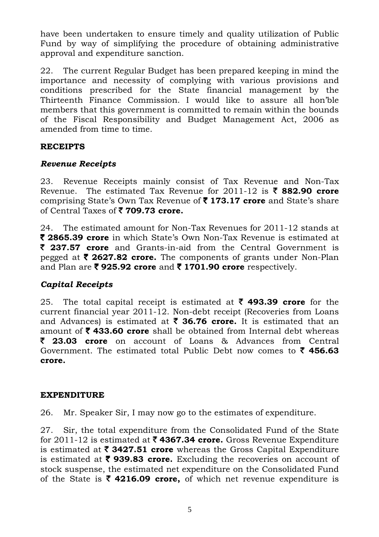have been undertaken to ensure timely and quality utilization of Public Fund by way of simplifying the procedure of obtaining administrative approval and expenditure sanction.

22. The current Regular Budget has been prepared keeping in mind the importance and necessity of complying with various provisions and conditions prescribed for the State financial management by the Thirteenth Finance Commission. I would like to assure all hon'ble members that this government is committed to remain within the bounds of the Fiscal Responsibility and Budget Management Act, 2006 as amended from time to time.

#### **RECEIPTS**

#### *Revenue Receipts*

23. Revenue Receipts mainly consist of Tax Revenue and Non-Tax Revenue. The estimated Tax Revenue for  $2011-12$  is  $\bar{\tau}$  882.90 crore comprising State's Own Tax Revenue of ` **173.17 crore** and State's share of Central Taxes of  $\bar{\tau}$  **709.73 crore.** 

24. The estimated amount for Non-Tax Revenues for 2011-12 stands at ` **2865.39 crore** in which State's Own Non-Tax Revenue is estimated at ` **237.57 crore** and Grants-in-aid from the Central Government is pegged at ₹ 2627.82 crore. The components of grants under Non-Plan and Plan are ₹925.92 crore and ₹1701.90 crore respectively.

#### *Capital Receipts*

25. The total capital receipt is estimated at  $\bar{\tau}$  493.39 crore for the current financial year 2011-12. Non-debt receipt (Recoveries from Loans and Advances) is estimated at  $\bar{\tau}$  **36.76 crore.** It is estimated that an amount of  $\bar{\tau}$  433.60 crore shall be obtained from Internal debt whereas ` **23.03 crore** on account of Loans & Advances from Central Government. The estimated total Public Debt now comes to  $\bar{\tau}$  456.63 **crore.** 

#### **EXPENDITURE**

26. Mr. Speaker Sir, I may now go to the estimates of expenditure.

27. Sir, the total expenditure from the Consolidated Fund of the State for 2011-12 is estimated at ` **4367.34 crore.** Gross Revenue Expenditure is estimated at  $\bar{\tau}$  3427.51 crore whereas the Gross Capital Expenditure is estimated at  $\bar{\tau}$  939.83 crore. Excluding the recoveries on account of stock suspense, the estimated net expenditure on the Consolidated Fund of the State is  $\bar{\tau}$  4216.09 crore, of which net revenue expenditure is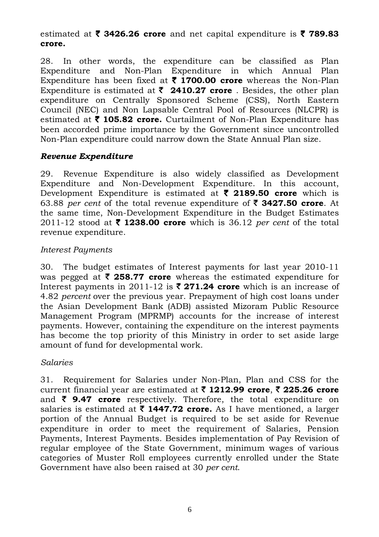#### estimated at  $\bar{\tau}$  3426.26 crore and net capital expenditure is  $\bar{\tau}$  789.83 **crore.**

28. In other words, the expenditure can be classified as Plan Expenditure and Non-Plan Expenditure in which Annual Plan Expenditure has been fixed at  $\bar{\tau}$  1700.00 crore whereas the Non-Plan Expenditure is estimated at  $\bar{\zeta}$  **2410.27 crore** . Besides, the other plan expenditure on Centrally Sponsored Scheme (CSS), North Eastern Council (NEC) and Non Lapsable Central Pool of Resources (NLCPR) is estimated at  $\bar{\tau}$  105.82 crore. Curtailment of Non-Plan Expenditure has been accorded prime importance by the Government since uncontrolled Non-Plan expenditure could narrow down the State Annual Plan size.

#### *Revenue Expenditure*

29. Revenue Expenditure is also widely classified as Development Expenditure and Non-Development Expenditure. In this account, Development Expenditure is estimated at  $\bar{\tau}$  2189.50 crore which is 63.88 *per cent* of the total revenue expenditure of ` **3427.50 crore**. At the same time, Non-Development Expenditure in the Budget Estimates 2011-12 stood at  $\bar{\tau}$  1238.00 crore which is 36.12 *per cent* of the total revenue expenditure.

#### *Interest Payments*

30. The budget estimates of Interest payments for last year 2010-11 was pegged at  $\bar{\tau}$  **258.77 crore** whereas the estimated expenditure for Interest payments in 2011-12 is  $\bar{\tau}$  271.24 crore which is an increase of 4.82 *percent* over the previous year. Prepayment of high cost loans under the Asian Development Bank (ADB) assisted Mizoram Public Resource Management Program (MPRMP) accounts for the increase of interest payments. However, containing the expenditure on the interest payments has become the top priority of this Ministry in order to set aside large amount of fund for developmental work.

#### *Salaries*

31. Requirement for Salaries under Non-Plan, Plan and CSS for the current financial year are estimated at ` **1212.99 crore**, ` **225.26 crore**  and  $\bar{\tau}$  9.47 crore respectively. Therefore, the total expenditure on salaries is estimated at  $\bar{\tau}$  **1447.72 crore.** As I have mentioned, a larger portion of the Annual Budget is required to be set aside for Revenue expenditure in order to meet the requirement of Salaries, Pension Payments, Interest Payments. Besides implementation of Pay Revision of regular employee of the State Government, minimum wages of various categories of Muster Roll employees currently enrolled under the State Government have also been raised at 30 *per cent*.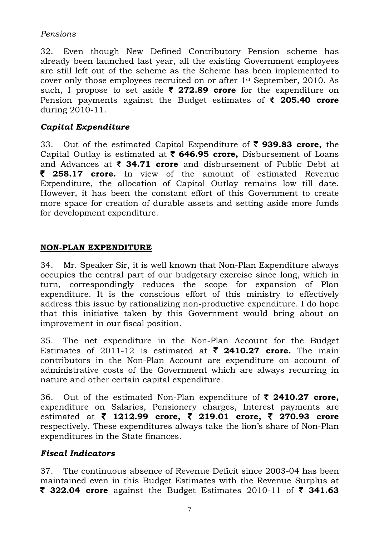#### *Pensions*

32. Even though New Defined Contributory Pension scheme has already been launched last year, all the existing Government employees are still left out of the scheme as the Scheme has been implemented to cover only those employees recruited on or after 1st September, 2010. As such, I propose to set aside ` **272.89 crore** for the expenditure on Pension payments against the Budget estimates of ₹ 205.40 crore during 2010-11.

#### *Capital Expenditure*

33. Out of the estimated Capital Expenditure of ` **939.83 crore,** the Capital Outlay is estimated at ` **646.95 crore,** Disbursement of Loans and Advances at  $\bar{\zeta}$  34.71 crore and disbursement of Public Debt at ` **258.17 crore.** In view of the amount of estimated Revenue Expenditure, the allocation of Capital Outlay remains low till date. However, it has been the constant effort of this Government to create more space for creation of durable assets and setting aside more funds for development expenditure.

#### **NON-PLAN EXPENDITURE**

34. Mr. Speaker Sir, it is well known that Non-Plan Expenditure always occupies the central part of our budgetary exercise since long, which in turn, correspondingly reduces the scope for expansion of Plan expenditure. It is the conscious effort of this ministry to effectively address this issue by rationalizing non-productive expenditure. I do hope that this initiative taken by this Government would bring about an improvement in our fiscal position.

35. The net expenditure in the Non-Plan Account for the Budget Estimates of 2011-12 is estimated at  $\bar{\zeta}$  2410.27 crore. The main contributors in the Non-Plan Account are expenditure on account of administrative costs of the Government which are always recurring in nature and other certain capital expenditure.

36. Out of the estimated Non-Plan expenditure of ` **2410.27 crore,** expenditure on Salaries, Pensionery charges, Interest payments are estimated at ` **1212.99 crore,** ` **219.01 crore,** ` **270.93 crore**  respectively. These expenditures always take the lion's share of Non-Plan expenditures in the State finances.

#### *Fiscal Indicators*

37. The continuous absence of Revenue Deficit since 2003-04 has been maintained even in this Budget Estimates with the Revenue Surplus at ` **322.04 crore** against the Budget Estimates 2010-11 of ` **341.63**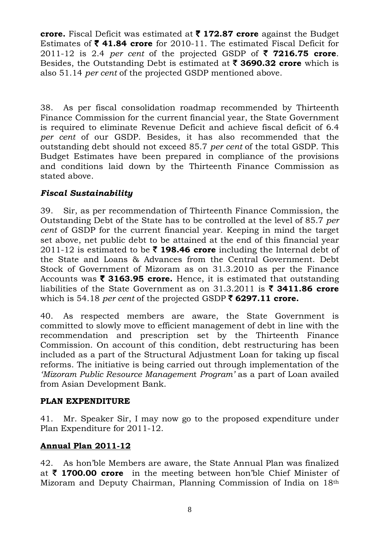**crore.** Fiscal Deficit was estimated at ` **172.87 crore** against the Budget Estimates of  $\bar{\tau}$  41.84 crore for 2010-11. The estimated Fiscal Deficit for 2011-12 is 2.4 *per cent* of the projected GSDP of  $\bar{\phantom{1}}$  **7216.75 crore**. Besides, the Outstanding Debt is estimated at ` **3690.32 crore** which is also 51.14 *per cent* of the projected GSDP mentioned above.

38. As per fiscal consolidation roadmap recommended by Thirteenth Finance Commission for the current financial year, the State Government is required to eliminate Revenue Deficit and achieve fiscal deficit of 6.4 *per cent* of our GSDP. Besides, it has also recommended that the outstanding debt should not exceed 85.7 *per cent* of the total GSDP. This Budget Estimates have been prepared in compliance of the provisions and conditions laid down by the Thirteenth Finance Commission as stated above.

## *Fiscal Sustainability*

39. Sir, as per recommendation of Thirteenth Finance Commission, the Outstanding Debt of the State has to be controlled at the level of 85.7 *per cent* of GSDP for the current financial year. Keeping in mind the target set above, net public debt to be attained at the end of this financial year 2011-12 is estimated to be  $\bar{\tau}$  198.46 crore including the Internal debt of the State and Loans & Advances from the Central Government. Debt Stock of Government of Mizoram as on 31.3.2010 as per the Finance Accounts was  $\bar{\tau}$  3163.95 crore. Hence, it is estimated that outstanding liabilities of the State Government as on  $31.3.2011$  is  $\bar{\phantom{1}}$  **3411.86 crore** which is 54.18 *per cent* of the projected GSDP  $\bar{\epsilon}$  6297.11 crore.

40. As respected members are aware, the State Government is committed to slowly move to efficient management of debt in line with the recommendation and prescription set by the Thirteenth Finance Commission. On account of this condition, debt restructuring has been included as a part of the Structural Adjustment Loan for taking up fiscal reforms. The initiative is being carried out through implementation of the *'Mizoram Public Resource Managemen*t *Program'* as a part of Loan availed from Asian Development Bank.

#### **PLAN EXPENDITURE**

41. Mr. Speaker Sir, I may now go to the proposed expenditure under Plan Expenditure for 2011-12.

#### **Annual Plan 2011-12**

42. As hon'ble Members are aware, the State Annual Plan was finalized at ` **1700.00 crore** in the meeting between hon'ble Chief Minister of Mizoram and Deputy Chairman, Planning Commission of India on 18th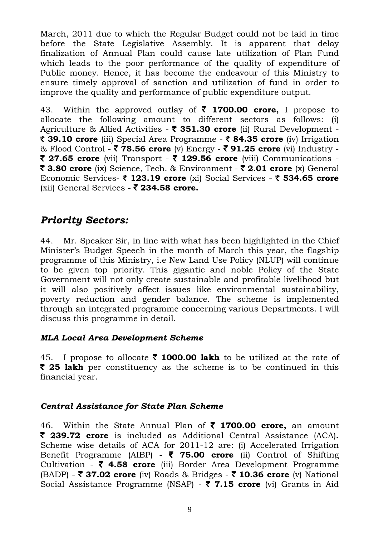March, 2011 due to which the Regular Budget could not be laid in time before the State Legislative Assembly. It is apparent that delay finalization of Annual Plan could cause late utilization of Plan Fund which leads to the poor performance of the quality of expenditure of Public money. Hence, it has become the endeavour of this Ministry to ensure timely approval of sanction and utilization of fund in order to improve the quality and performance of public expenditure output.

43. Within the approved outlay of  $\bar{\tau}$  1700.00 crore, I propose to allocate the following amount to different sectors as follows: (i) Agriculture & Allied Activities - ` **351.30 crore** (ii) Rural Development - ` **39.10 crore** (iii) Special Area Programme - ` **84.35 crore** (iv) Irrigation & Flood Control - ` **78.56 crore** (v) Energy - ` **91.25 crore** (vi) Industry -  $\bar{\tau}$  **27.65 crore** (vii) Transport -  $\bar{\tau}$  129.56 crore (viii) Communications -` **3.80 crore** (ix) Science, Tech. & Environment - ` **2.01 crore** (x) General Economic Services- ` **123.19 crore** (xi) Social Services - ` **534.65 crore**  (xii) General Services - ` **234.58 crore.** 

# *Priority Sectors:*

44. Mr. Speaker Sir, in line with what has been highlighted in the Chief Minister's Budget Speech in the month of March this year, the flagship programme of this Ministry, i.e New Land Use Policy (NLUP) will continue to be given top priority. This gigantic and noble Policy of the State Government will not only create sustainable and profitable livelihood but it will also positively affect issues like environmental sustainability, poverty reduction and gender balance. The scheme is implemented through an integrated programme concerning various Departments. I will discuss this programme in detail.

#### *MLA Local Area Development Scheme*

45. I propose to allocate  $\bar{\tau}$  **1000.00 lakh** to be utilized at the rate of ` **25 lakh** per constituency as the scheme is to be continued in this financial year.

#### *Central Assistance for State Plan Scheme*

46. Within the State Annual Plan of ` **1700.00 crore,** an amount ` **239.72 crore** is included as Additional Central Assistance (ACA)**.**  Scheme wise details of ACA for 2011-12 are: (i) Accelerated Irrigation Benefit Programme (AIBP) - ` **75.00 crore** (ii) Control of Shifting Cultivation - ` **4.58 crore** (iii) Border Area Development Programme (BADP) - ` **37.02 crore** (iv) Roads & Bridges - ` **10.36 crore** (v) National Social Assistance Programme (NSAP) - ` **7.15 crore** (vi) Grants in Aid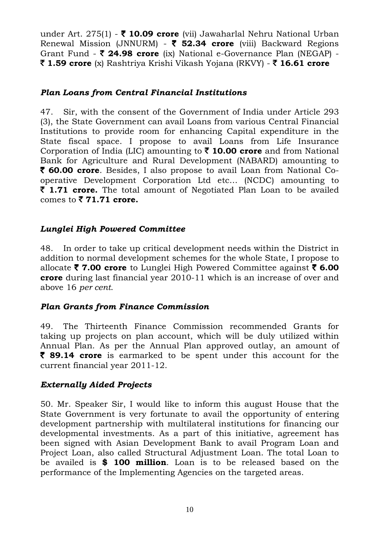under Art. 275(1) - ` **10.09 crore** (vii) Jawaharlal Nehru National Urban Renewal Mission (JNNURM) - ` **52.34 crore** (viii) Backward Regions Grant Fund - **₹ 24.98 crore** (ix) National e-Governance Plan (NEGAP) -` **1.59 crore** (x) Rashtriya Krishi Vikash Yojana (RKVY) - ` **16.61 crore**

#### *Plan Loans from Central Financial Institutions*

47. Sir, with the consent of the Government of India under Article 293 (3), the State Government can avail Loans from various Central Financial Institutions to provide room for enhancing Capital expenditure in the State fiscal space. I propose to avail Loans from Life Insurance Corporation of India (LIC) amounting to  $\bar{\tau}$  10.00 crore and from National Bank for Agriculture and Rural Development (NABARD) amounting to ` **60.00 crore**. Besides, I also propose to avail Loan from National Cooperative Development Corporation Ltd etc… (NCDC) amounting to ` **1.71 crore.** The total amount of Negotiated Plan Loan to be availed comes to  $\bar{z}$  **71.71 crore.** 

#### *Lunglei High Powered Committee*

48. In order to take up critical development needs within the District in addition to normal development schemes for the whole State, I propose to allocate ` **7.00 crore** to Lunglei High Powered Committee against ` **6.00 crore** during last financial year 2010-11 which is an increase of over and above 16 *per cent*.

#### *Plan Grants from Finance Commission*

49. The Thirteenth Finance Commission recommended Grants for taking up projects on plan account, which will be duly utilized within Annual Plan. As per the Annual Plan approved outlay, an amount of ` **89.14 crore** is earmarked to be spent under this account for the current financial year 2011-12.

#### *Externally Aided Projects*

50. Mr. Speaker Sir, I would like to inform this august House that the State Government is very fortunate to avail the opportunity of entering development partnership with multilateral institutions for financing our developmental investments. As a part of this initiative, agreement has been signed with Asian Development Bank to avail Program Loan and Project Loan, also called Structural Adjustment Loan. The total Loan to be availed is **\$ 100 million**. Loan is to be released based on the performance of the Implementing Agencies on the targeted areas.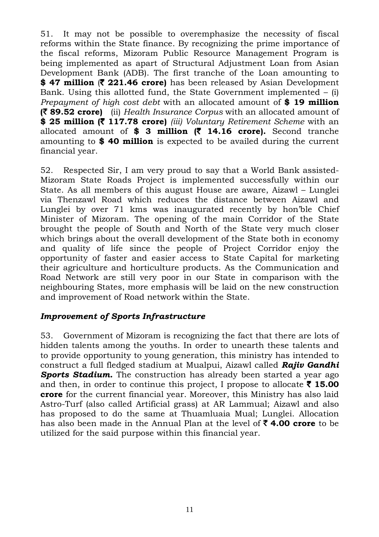51. It may not be possible to overemphasize the necessity of fiscal reforms within the State finance. By recognizing the prime importance of the fiscal reforms, Mizoram Public Resource Management Program is being implemented as apart of Structural Adjustment Loan from Asian Development Bank (ADB). The first tranche of the Loan amounting to \$ 47 million **(\* 221.46 crore)** has been released by Asian Development Bank. Using this allotted fund, the State Government implemented  $-$  (i) *Prepayment of high cost debt* with an allocated amount of **\$ 19 million (**` **89.52 crore)** (ii) *Health Insurance Corpus* with an allocated amount of **\$ 25 million (**` **117.78 crore)** *(iii) Voluntary Retirement Scheme* with an allocated amount of **\$ 3 million (**` **14.16 crore).** Second tranche amounting to **\$ 40 million** is expected to be availed during the current financial year.

52. Respected Sir, I am very proud to say that a World Bank assisted-Mizoram State Roads Project is implemented successfully within our State. As all members of this august House are aware, Aizawl – Lunglei via Thenzawl Road which reduces the distance between Aizawl and Lunglei by over 71 kms was inaugurated recently by hon'ble Chief Minister of Mizoram. The opening of the main Corridor of the State brought the people of South and North of the State very much closer which brings about the overall development of the State both in economy and quality of life since the people of Project Corridor enjoy the opportunity of faster and easier access to State Capital for marketing their agriculture and horticulture products. As the Communication and Road Network are still very poor in our State in comparison with the neighbouring States, more emphasis will be laid on the new construction and improvement of Road network within the State.

#### *Improvement of Sports Infrastructure*

53. Government of Mizoram is recognizing the fact that there are lots of hidden talents among the youths. In order to unearth these talents and to provide opportunity to young generation, this ministry has intended to construct a full fledged stadium at Mualpui, Aizawl called *Rajiv Gandhi Sports Stadium.* The construction has already been started a year ago and then, in order to continue this project, I propose to allocate  $\bar{\tau}$  15.00 **crore** for the current financial year. Moreover, this Ministry has also laid Astro-Turf (also called Artificial grass) at AR Lammual; Aizawl and also has proposed to do the same at Thuamluaia Mual; Lunglei. Allocation has also been made in the Annual Plan at the level of ` **4.00 crore** to be utilized for the said purpose within this financial year.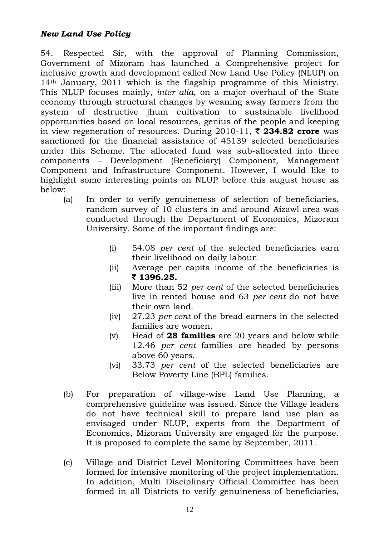54. Respected Sir, with the approval of Planning Commission, Government of Mizoram has launched a Comprehensive project for inclusive growth and development called New Land Use Policy (NLUP) on 14th January, 2011 which is the flagship programme of this Ministry. This NLUP focuses mainly, *inter alia*, on a major overhaul of the State economy through structural changes by weaning away farmers from the system of destructive jhum cultivation to sustainable livelihood opportunities based on local resources, genius of the people and keeping in view regeneration of resources. During  $2010-11$ ,  $\bar{\tau}$  **234.82 crore** was sanctioned for the financial assistance of 45139 selected beneficiaries under this Scheme. The allocated fund was sub-allocated into three components – Development (Beneficiary) Component, Management Component and Infrastructure Component. However, I would like to highlight some interesting points on NLUP before this august house as below:

- (a) In order to verify genuineness of selection of beneficiaries, random survey of 10 clusters in and around Aizawl area was conducted through the Department of Economics, Mizoram University. Some of the important findings are:
	- (i) 54.08 *per cent* of the selected beneficiaries earn their livelihood on daily labour.
	- (ii) Average per capita income of the beneficiaries is ` **1396.25.**
	- (iii) More than 52 *per cent* of the selected beneficiaries live in rented house and 63 *per cent* do not have their own land.
	- (iv) 27.23 *per cent* of the bread earners in the selected families are women.
	- (v) Head of **28 families** are 20 years and below while 12.46 *per cent* families are headed by persons above 60 years.
	- (vi) 33.73 *per cent* of the selected beneficiaries are Below Poverty Line (BPL) families.
- (b) For preparation of village-wise Land Use Planning, a comprehensive guideline was issued. Since the Village leaders do not have technical skill to prepare land use plan as envisaged under NLUP, experts from the Department of Economics, Mizoram University are engaged for the purpose. It is proposed to complete the same by September, 2011.
- (c) Village and District Level Monitoring Committees have been formed for intensive monitoring of the project implementation. In addition, Multi Disciplinary Official Committee has been formed in all Districts to verify genuineness of beneficiaries,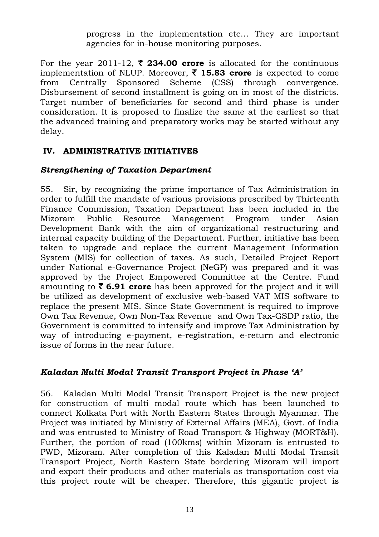progress in the implementation etc… They are important agencies for in-house monitoring purposes.

For the year 2011-12,  $\bar{\zeta}$  234.00 crore is allocated for the continuous implementation of NLUP. Moreover,  $\bar{\tau}$  **15.83 crore** is expected to come from Centrally Sponsored Scheme (CSS) through convergence. Disbursement of second installment is going on in most of the districts. Target number of beneficiaries for second and third phase is under consideration. It is proposed to finalize the same at the earliest so that the advanced training and preparatory works may be started without any delay.

#### **IV. ADMINISTRATIVE INITIATIVES**

#### *Strengthening of Taxation Department*

55. Sir, by recognizing the prime importance of Tax Administration in order to fulfill the mandate of various provisions prescribed by Thirteenth Finance Commission, Taxation Department has been included in the Mizoram Public Resource Management Program under Asian Development Bank with the aim of organizational restructuring and internal capacity building of the Department. Further, initiative has been taken to upgrade and replace the current Management Information System (MIS) for collection of taxes. As such, Detailed Project Report under National e-Governance Project (NeGP) was prepared and it was approved by the Project Empowered Committee at the Centre. Fund amounting to  $\bar{\zeta}$  6.91 crore has been approved for the project and it will be utilized as development of exclusive web-based VAT MIS software to replace the present MIS. Since State Government is required to improve Own Tax Revenue, Own Non-Tax Revenue and Own Tax-GSDP ratio, the Government is committed to intensify and improve Tax Administration by way of introducing e-payment, e-registration, e-return and electronic issue of forms in the near future.

#### *Kaladan Multi Modal Transit Transport Project in Phase 'A'*

56. Kaladan Multi Modal Transit Transport Project is the new project for construction of multi modal route which has been launched to connect Kolkata Port with North Eastern States through Myanmar. The Project was initiated by Ministry of External Affairs (MEA), Govt. of India and was entrusted to Ministry of Road Transport & Highway (MORT&H). Further, the portion of road (100kms) within Mizoram is entrusted to PWD, Mizoram. After completion of this Kaladan Multi Modal Transit Transport Project, North Eastern State bordering Mizoram will import and export their products and other materials as transportation cost via this project route will be cheaper. Therefore, this gigantic project is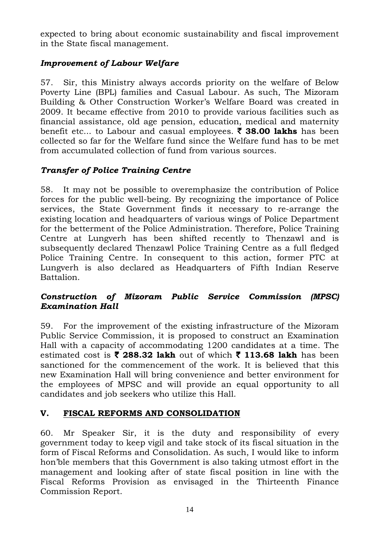expected to bring about economic sustainability and fiscal improvement in the State fiscal management.

## *Improvement of Labour Welfare*

57. Sir, this Ministry always accords priority on the welfare of Below Poverty Line (BPL) families and Casual Labour. As such, The Mizoram Building & Other Construction Worker's Welfare Board was created in 2009. It became effective from 2010 to provide various facilities such as financial assistance, old age pension, education, medical and maternity benefit etc... to Labour and casual employees. ₹ 38.00 lakhs has been collected so far for the Welfare fund since the Welfare fund has to be met from accumulated collection of fund from various sources.

## *Transfer of Police Training Centre*

58. It may not be possible to overemphasize the contribution of Police forces for the public well-being. By recognizing the importance of Police services, the State Government finds it necessary to re-arrange the existing location and headquarters of various wings of Police Department for the betterment of the Police Administration. Therefore, Police Training Centre at Lungverh has been shifted recently to Thenzawl and is subsequently declared Thenzawl Police Training Centre as a full fledged Police Training Centre. In consequent to this action, former PTC at Lungverh is also declared as Headquarters of Fifth Indian Reserve Battalion.

#### *Construction of Mizoram Public Service Commission (MPSC) Examination Hall*

59. For the improvement of the existing infrastructure of the Mizoram Public Service Commission, it is proposed to construct an Examination Hall with a capacity of accommodating 1200 candidates at a time. The estimated cost is  $\bar{\tau}$  288.32 lakh out of which  $\bar{\tau}$  113.68 lakh has been sanctioned for the commencement of the work. It is believed that this new Examination Hall will bring convenience and better environment for the employees of MPSC and will provide an equal opportunity to all candidates and job seekers who utilize this Hall.

## **V. FISCAL REFORMS AND CONSOLIDATION**

60. Mr Speaker Sir, it is the duty and responsibility of every government today to keep vigil and take stock of its fiscal situation in the form of Fiscal Reforms and Consolidation. As such, I would like to inform hon'ble members that this Government is also taking utmost effort in the management and looking after of state fiscal position in line with the Fiscal Reforms Provision as envisaged in the Thirteenth Finance Commission Report.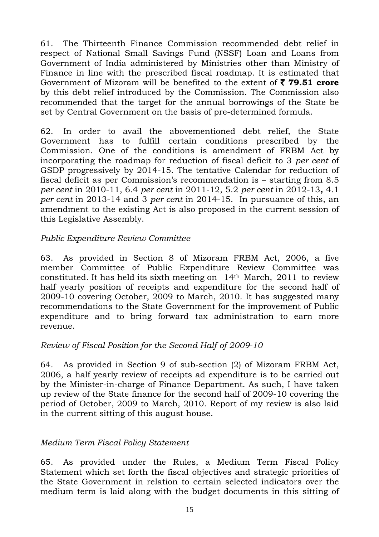61. The Thirteenth Finance Commission recommended debt relief in respect of National Small Savings Fund (NSSF) Loan and Loans from Government of India administered by Ministries other than Ministry of Finance in line with the prescribed fiscal roadmap. It is estimated that Government of Mizoram will be benefited to the extent of ` **79.51 crore** by this debt relief introduced by the Commission. The Commission also recommended that the target for the annual borrowings of the State be set by Central Government on the basis of pre-determined formula.

62. In order to avail the abovementioned debt relief, the State Government has to fulfill certain conditions prescribed by the Commission. One of the conditions is amendment of FRBM Act by incorporating the roadmap for reduction of fiscal deficit to 3 *per cent* of GSDP progressively by 2014-15. The tentative Calendar for reduction of fiscal deficit as per Commission's recommendation is – starting from 8.5 *per cent* in 2010-11, 6.4 *per cent* in 2011-12, 5.2 *per cent* in 2012-13**,** 4.1 *per cent* in 2013-14 and 3 *per cent* in 2014-15. In pursuance of this, an amendment to the existing Act is also proposed in the current session of this Legislative Assembly.

#### *Public Expenditure Review Committee*

63. As provided in Section 8 of Mizoram FRBM Act, 2006, a five member Committee of Public Expenditure Review Committee was constituted. It has held its sixth meeting on 14th March, 2011 to review half yearly position of receipts and expenditure for the second half of 2009-10 covering October, 2009 to March, 2010. It has suggested many recommendations to the State Government for the improvement of Public expenditure and to bring forward tax administration to earn more revenue.

#### *Review of Fiscal Position for the Second Half of 2009-10*

64. As provided in Section 9 of sub-section (2) of Mizoram FRBM Act, 2006, a half yearly review of receipts ad expenditure is to be carried out by the Minister-in-charge of Finance Department. As such, I have taken up review of the State finance for the second half of 2009-10 covering the period of October, 2009 to March, 2010. Report of my review is also laid in the current sitting of this august house.

#### *Medium Term Fiscal Policy Statement*

65. As provided under the Rules, a Medium Term Fiscal Policy Statement which set forth the fiscal objectives and strategic priorities of the State Government in relation to certain selected indicators over the medium term is laid along with the budget documents in this sitting of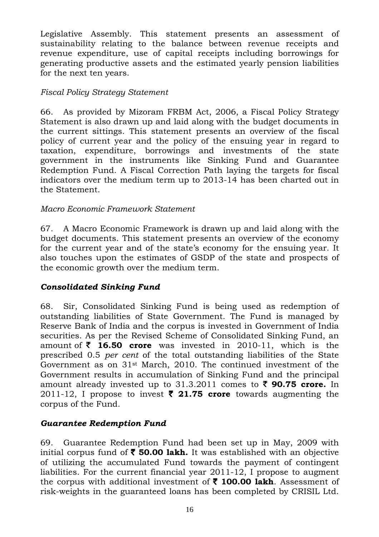Legislative Assembly. This statement presents an assessment of sustainability relating to the balance between revenue receipts and revenue expenditure, use of capital receipts including borrowings for generating productive assets and the estimated yearly pension liabilities for the next ten years.

#### *Fiscal Policy Strategy Statement*

66. As provided by Mizoram FRBM Act, 2006, a Fiscal Policy Strategy Statement is also drawn up and laid along with the budget documents in the current sittings. This statement presents an overview of the fiscal policy of current year and the policy of the ensuing year in regard to taxation, expenditure, borrowings and investments of the state government in the instruments like Sinking Fund and Guarantee Redemption Fund. A Fiscal Correction Path laying the targets for fiscal indicators over the medium term up to 2013-14 has been charted out in the Statement.

#### *Macro Economic Framework Statement*

67. A Macro Economic Framework is drawn up and laid along with the budget documents. This statement presents an overview of the economy for the current year and of the state's economy for the ensuing year. It also touches upon the estimates of GSDP of the state and prospects of the economic growth over the medium term.

#### *Consolidated Sinking Fund*

68. Sir, Consolidated Sinking Fund is being used as redemption of outstanding liabilities of State Government. The Fund is managed by Reserve Bank of India and the corpus is invested in Government of India securities. As per the Revised Scheme of Consolidated Sinking Fund, an amount of  $\bar{\phantom{1}}$  **16.50 crore** was invested in 2010-11, which is the prescribed 0.5 *per cent* of the total outstanding liabilities of the State Government as on 31st March, 2010. The continued investment of the Government results in accumulation of Sinking Fund and the principal amount already invested up to  $31.3.2011$  comes to  $\bar{z}$  90.75 crore. In 2011-12, I propose to invest  $\bar{\mathbf{z}}$  21.75 crore towards augmenting the corpus of the Fund.

#### *Guarantee Redemption Fund*

69. Guarantee Redemption Fund had been set up in May, 2009 with initial corpus fund of  $\bar{\tau}$  50.00 lakh. It was established with an objective of utilizing the accumulated Fund towards the payment of contingent liabilities. For the current financial year 2011-12, I propose to augment the corpus with additional investment of  $\bar{\tau}$  100.00 lakh. Assessment of risk-weights in the guaranteed loans has been completed by CRISIL Ltd.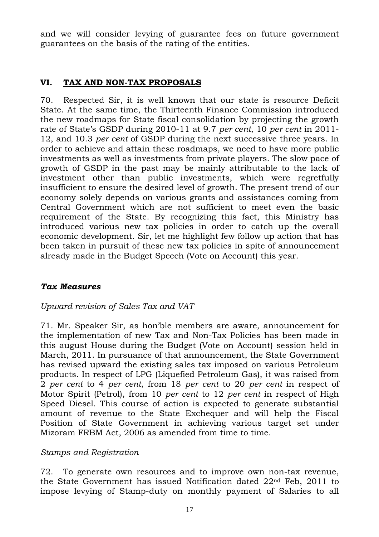and we will consider levying of guarantee fees on future government guarantees on the basis of the rating of the entities.

#### **VI. TAX AND NON-TAX PROPOSALS**

70. Respected Sir, it is well known that our state is resource Deficit State. At the same time, the Thirteenth Finance Commission introduced the new roadmaps for State fiscal consolidation by projecting the growth rate of State's GSDP during 2010-11 at 9.7 *per cent*, 10 *per cent* in 2011- 12, and 10.3 *per cent* of GSDP during the next successive three years. In order to achieve and attain these roadmaps, we need to have more public investments as well as investments from private players. The slow pace of growth of GSDP in the past may be mainly attributable to the lack of investment other than public investments, which were regretfully insufficient to ensure the desired level of growth. The present trend of our economy solely depends on various grants and assistances coming from Central Government which are not sufficient to meet even the basic requirement of the State. By recognizing this fact, this Ministry has introduced various new tax policies in order to catch up the overall economic development. Sir, let me highlight few follow up action that has been taken in pursuit of these new tax policies in spite of announcement already made in the Budget Speech (Vote on Account) this year.

#### *Tax Measures*

#### *Upward revision of Sales Tax and VAT*

71. Mr. Speaker Sir, as hon'ble members are aware, announcement for the implementation of new Tax and Non-Tax Policies has been made in this august House during the Budget (Vote on Account) session held in March, 2011. In pursuance of that announcement, the State Government has revised upward the existing sales tax imposed on various Petroleum products. In respect of LPG (Liquefied Petroleum Gas), it was raised from 2 *per cent* to 4 *per cent*, from 18 *per cent* to 20 *per cent* in respect of Motor Spirit (Petrol), from 10 *per cent* to 12 *per cent* in respect of High Speed Diesel. This course of action is expected to generate substantial amount of revenue to the State Exchequer and will help the Fiscal Position of State Government in achieving various target set under Mizoram FRBM Act, 2006 as amended from time to time.

#### *Stamps and Registration*

72. To generate own resources and to improve own non-tax revenue, the State Government has issued Notification dated 22nd Feb, 2011 to impose levying of Stamp-duty on monthly payment of Salaries to all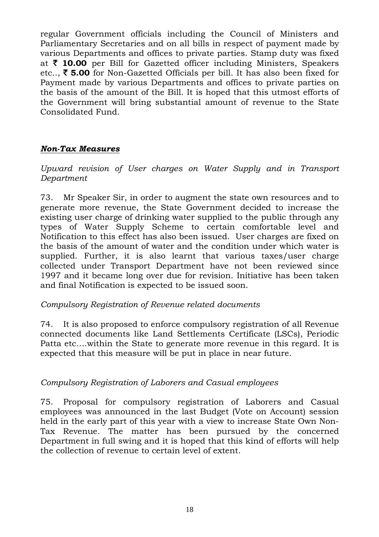regular Government officials including the Council of Ministers and Parliamentary Secretaries and on all bills in respect of payment made by various Departments and offices to private parties. Stamp duty was fixed at ` **10.00** per Bill for Gazetted officer including Ministers, Speakers etc..,  $\bar{\xi}$  5.00 for Non-Gazetted Officials per bill. It has also been fixed for Payment made by various Departments and offices to private parties on the basis of the amount of the Bill. It is hoped that this utmost efforts of the Government will bring substantial amount of revenue to the State Consolidated Fund.

#### *Non-Tax Measures*

*Upward revision of User charges on Water Supply and in Transport Department* 

73. Mr Speaker Sir, in order to augment the state own resources and to generate more revenue, the State Government decided to increase the existing user charge of drinking water supplied to the public through any types of Water Supply Scheme to certain comfortable level and Notification to this effect has also been issued. User charges are fixed on the basis of the amount of water and the condition under which water is supplied. Further, it is also learnt that various taxes/user charge collected under Transport Department have not been reviewed since 1997 and it became long over due for revision. Initiative has been taken and final Notification is expected to be issued soon.

#### *Compulsory Registration of Revenue related documents*

74. It is also proposed to enforce compulsory registration of all Revenue connected documents like Land Settlements Certificate (LSCs), Periodic Patta etc….within the State to generate more revenue in this regard. It is expected that this measure will be put in place in near future.

#### *Compulsory Registration of Laborers and Casual employees*

75. Proposal for compulsory registration of Laborers and Casual employees was announced in the last Budget (Vote on Account) session held in the early part of this year with a view to increase State Own Non-Tax Revenue. The matter has been pursued by the concerned Department in full swing and it is hoped that this kind of efforts will help the collection of revenue to certain level of extent.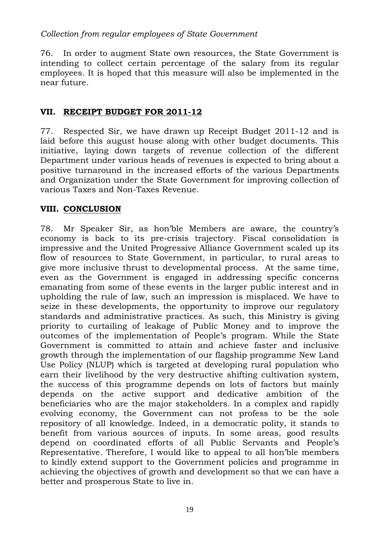#### *Collection from regular employees of State Government*

76. In order to augment State own resources, the State Government is intending to collect certain percentage of the salary from its regular employees. It is hoped that this measure will also be implemented in the near future.

#### **VII. RECEIPT BUDGET FOR 2011-12**

77. Respected Sir, we have drawn up Receipt Budget 2011-12 and is laid before this august house along with other budget documents. This initiative, laying down targets of revenue collection of the different Department under various heads of revenues is expected to bring about a positive turnaround in the increased efforts of the various Departments and Organization under the State Government for improving collection of various Taxes and Non-Taxes Revenue.

#### **VIII. CONCLUSION**

78. Mr Speaker Sir, as hon'ble Members are aware, the country's economy is back to its pre-crisis trajectory. Fiscal consolidation is impressive and the United Progressive Alliance Government scaled up its flow of resources to State Government, in particular, to rural areas to give more inclusive thrust to developmental process. At the same time, even as the Government is engaged in addressing specific concerns emanating from some of these events in the larger public interest and in upholding the rule of law, such an impression is misplaced. We have to seize in these developments, the opportunity to improve our regulatory standards and administrative practices. As such, this Ministry is giving priority to curtailing of leakage of Public Money and to improve the outcomes of the implementation of People's program. While the State Government is committed to attain and achieve faster and inclusive growth through the implementation of our flagship programme New Land Use Policy (NLUP) which is targeted at developing rural population who earn their livelihood by the very destructive shifting cultivation system, the success of this programme depends on lots of factors but mainly depends on the active support and dedicative ambition of the beneficiaries who are the major stakeholders. In a complex and rapidly evolving economy, the Government can not profess to be the sole repository of all knowledge. Indeed, in a democratic polity, it stands to benefit from various sources of inputs. In some areas, good results depend on coordinated efforts of all Public Servants and People's Representative. Therefore, I would like to appeal to all hon'ble members to kindly extend support to the Government policies and programme in achieving the objectives of growth and development so that we can have a better and prosperous State to live in.